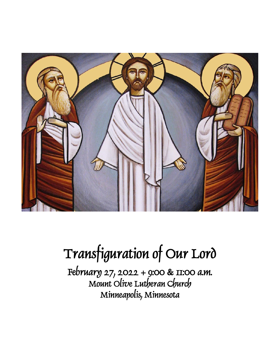

# Transfiguration of Our Lord

February 27, 2022 + 9:00 & 11:00 a.m. Mount Olive Lutheran Church Minneapolis, Minnesota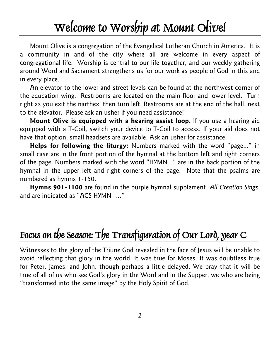# Welcome to Worship at Mount Olive!

Mount Olive is a congregation of the Evangelical Lutheran Church in America. It is a community in and of the city where all are welcome in every aspect of congregational life. Worship is central to our life together, and our weekly gathering around Word and Sacrament strengthens us for our work as people of God in this and in every place.

An elevator to the lower and street levels can be found at the northwest corner of the education wing. Restrooms are located on the main floor and lower level. Turn right as you exit the narthex, then turn left. Restrooms are at the end of the hall, next to the elevator. Please ask an usher if you need assistance!

**Mount Olive is equipped with a hearing assist loop.** If you use a hearing aid equipped with a T-Coil, switch your device to T-Coil to access. If your aid does not have that option, small headsets are available. Ask an usher for assistance.

**Helps for following the liturgy:** Numbers marked with the word "page..." in small case are in the front portion of the hymnal at the bottom left and right corners of the page. Numbers marked with the word "HYMN..." are in the back portion of the hymnal in the upper left and right corners of the page. Note that the psalms are numbered as hymns 1-150.

**Hymns 901-1100** are found in the purple hymnal supplement, *All Creation Sings*, and are indicated as "ACS HYMN …"

# Focus on the Season: The Transfiguration of Our Lord, year C

Witnesses to the glory of the Triune God revealed in the face of Jesus will be unable to avoid reflecting that glory in the world. It was true for Moses. It was doubtless true for Peter, James, and John, though perhaps a little delayed. We pray that it will be true of all of us who see God's glory in the Word and in the Supper, we who are being "transformed into the same image" by the Holy Spirit of God.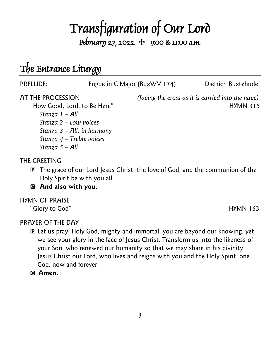# **Transfiguration of Our Lord**<br>February 27, 2022 + 9:00 & 11:00 a.m.

# The Entrance Liturgy

| PRELUDE:                                                                                                                                                                      | Fugue in C Major (BuxWV 174) |                                                   | Dietrich Buxtehude |
|-------------------------------------------------------------------------------------------------------------------------------------------------------------------------------|------------------------------|---------------------------------------------------|--------------------|
| AT THE PROCESSION<br>"How Good, Lord, to Be Here"<br>Stanza I – All<br>Stanza $2$ – Low voices<br>Stanza $3 - All$ , in harmony<br>Stanza 4 - Treble voices<br>Stanza 5 – All |                              | (facing the cross as it is carried into the nave) | <b>HYMN 315</b>    |
| THE GREETING                                                                                                                                                                  |                              |                                                   |                    |

- P The grace of our Lord Jesus Christ, the love of God, and the communion of the Holy Spirit be with you all.
- C **And also with you.**

#### HYMN OF PRAISE

"Glory to God" http://www.fileson.com/second/watch?com/second/watch?com/second/watch?com/second/watch?com/second/

PRAYER OF THE DAY

- P Let us pray. Holy God, mighty and immortal, you are beyond our knowing, yet we see your glory in the face of Jesus Christ. Transform us into the likeness of your Son, who renewed our humanity so that we may share in his divinity, Jesus Christ our Lord, who lives and reigns with you and the Holy Spirit, one God, now and forever.
- C **Amen.**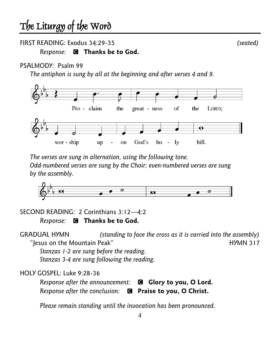#### FIRST READING: Exodus 34:29-35 *(seated)*

#### *Response:* C **Thanks be to God.**

#### PSALMODY: Psalm 99

*The antiphon is sung by all at the beginning and after verses 4 and 9.*



*The verses are sung in alternation, using the following tone. Odd-numbered verses are sung by the Choir; even-numbered verses are sung by the assembly.*



SECOND READING: 2 Corinthians 3:12—4:2

*Response:* C **Thanks be to God.**

GRADUAL HYMN *(standing to face the cross as it is carried into the assembly)*  "Jesus on the Mountain Peak" New York 1988, 2008, 2009, 2014, 2016, 2017, 2018, 2019, 2019, 2019, 2017, 2018, 20 *Stanzas 1-2 are sung before the reading. Stanzas 3-4 are sung following the reading.*

HOLY GOSPEL: Luke 9:28-36

| Response after the announcement: $\blacksquare$ Glory to you, O Lord. |  |
|-----------------------------------------------------------------------|--|
| Response after the conclusion: <sup>3</sup> Praise to you, O Christ.  |  |

*Please remain standing until the invocation has been pronounced.*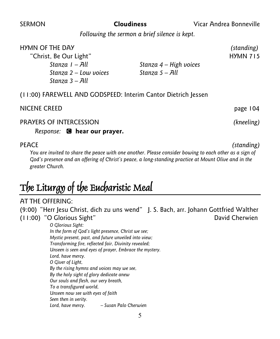SERMON **Cloudiness** Vicar Andrea Bonneville

*Following the sermon a brief silence is kept.*

#### HYMN OF THE DAY *(standing)*

"Christ, Be Our Light" National Action of the Hymn 715 *Stanza 2 – Low voices Stanza 5 – All Stanza 3 – All*

*Stanza 1 – All Stanza 4 – High voices*

(11:00) FAREWELL AND GODSPEED: Interim Cantor Dietrich Jessen

#### NICENE CREEDpage 104

PRAYERS OF INTERCESSION *(kneeling)*

*Response:* C **hear our prayer.**

*You are invited to share the peace with one another. Please consider bowing to each other as a sign of God's presence and an offering of Christ's peace, a long-standing practice at Mount Olive and in the greater Church.*

# The Liturgy of the Eucharistic Meal

#### AT THE OFFERING:

(9:00) "Herr Jesu Christ, dich zu uns wend" J. S. Bach, arr. Johann Gottfried Walther (11:00) "O Glorious Sight" David Cherwien *O Glorious Sight: In the form of God's light presence, Christ we see; Mystic present, past, and future unveiled into view; Transforming fire, reflected fair, Divinity revealed; Unseen is seen and eyes of prayer, Embrace the mystery. Lord, have mercy. O Giver of Light, By the rising hymns and voices may we see, By the holy sight of glory dedicate anew Our souls and flesh, our very breath, To a transfigured world, Unseen now see with eyes of faith Seen then in verity.* 

*Lord, have mercy. – Susan Palo Cherwien*

5

PEACE *(standing)*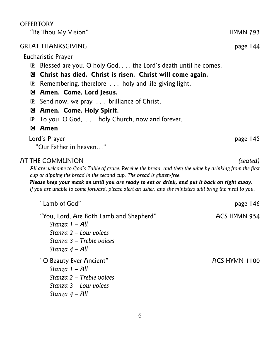|             | Eucharistic Prayer                                                                                                                                                                                                                                                                                                                                                                                               |               |  |
|-------------|------------------------------------------------------------------------------------------------------------------------------------------------------------------------------------------------------------------------------------------------------------------------------------------------------------------------------------------------------------------------------------------------------------------|---------------|--|
|             | <b>P</b> Blessed are you, O holy God, $\ldots$ the Lord's death until he comes.                                                                                                                                                                                                                                                                                                                                  |               |  |
|             | <b>E</b> Christ has died. Christ is risen. Christ will come again.                                                                                                                                                                                                                                                                                                                                               |               |  |
|             | <b>P</b> Remembering, therefore $\ldots$ holy and life-giving light.                                                                                                                                                                                                                                                                                                                                             |               |  |
|             | <b>G</b> Amen. Come, Lord Jesus.                                                                                                                                                                                                                                                                                                                                                                                 |               |  |
|             | <b>P</b> Send now, we pray $\ldots$ brilliance of Christ.                                                                                                                                                                                                                                                                                                                                                        |               |  |
|             | <b>Amen. Come, Holy Spirit.</b>                                                                                                                                                                                                                                                                                                                                                                                  |               |  |
| $ {\bf P} $ | To you, O God,  holy Church, now and forever.                                                                                                                                                                                                                                                                                                                                                                    |               |  |
|             | <b>G</b> Amen                                                                                                                                                                                                                                                                                                                                                                                                    |               |  |
|             | Lord's Prayer                                                                                                                                                                                                                                                                                                                                                                                                    | page 145      |  |
|             | "Our Father in heaven"                                                                                                                                                                                                                                                                                                                                                                                           |               |  |
|             | AT THE COMMUNION<br>All are welcome to God's Table of grace. Receive the bread, and then the wine by drinking from the first<br>cup or dipping the bread in the second cup. The bread is gluten-free.<br>Please keep your mask on until you are ready to eat or drink, and put it back on right away.<br>If you are unable to come forward, please alert an usher, and the ministers will bring the meal to you. | (seated)      |  |
|             | "Lamb of God"                                                                                                                                                                                                                                                                                                                                                                                                    | page 146      |  |
|             | "You, Lord, Are Both Lamb and Shepherd"<br>Stanza I - All<br>Stanza $2$ – Low voices<br>Stanza 3 - Treble voices<br>Stanza 4 - All                                                                                                                                                                                                                                                                               | ACS HYMN 954  |  |
|             | "O Beauty Ever Ancient"<br>Stanza I - All<br>Stanza 2 - Treble voices<br>Stanza $3 -$ Low voices                                                                                                                                                                                                                                                                                                                 | ACS HYMN 1100 |  |

#### GREAT THANKSGIVING **page 144**

**OFFERTORY** 

*Stanza 4 – All*

6

"Be Thou My Vision" National Contract of the HYMN 793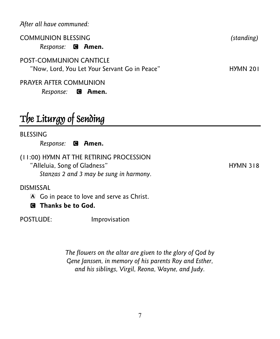*After all have communed:*

| <b>COMMUNION BLESSING</b>                     | (standing) |
|-----------------------------------------------|------------|
| Response: <b>@ Amen.</b>                      |            |
| POST-COMMUNION CANTICLE                       |            |
| "Now, Lord, You Let Your Servant Go in Peace" | HYMN 201   |

#### PRAYER AFTER COMMUNION

*Response:* C **Amen.**

# The Liturgy of Sending

BLESSING

*Response:* C **Amen.**

(11:00) HYMN AT THE RETIRING PROCESSION "Alleluia, Song of Gladness" extending the HYMN 318 *Stanzas 2 and 3 may be sung in harmony.*

#### DISMISSAL

A Go in peace to love and serve as Christ.

C **Thanks be to God.**

POSTLUDE: Improvisation

*The flowers on the altar are given to the glory of God by Gene Janssen, in memory of his parents Roy and Esther, and his siblings, Virgil, Reona, Wayne, and Judy.*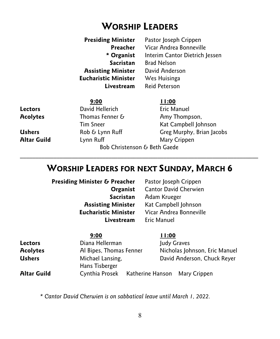## **WORSHIP LEADERS**

| <b>Presiding Minister</b> Pastor Joseph Crippen |
|-------------------------------------------------|
| Vicar Andrea Bonneville                         |
| Interim Cantor Dietrich Jessen                  |
| <b>Brad Nelson</b>                              |
| David Anderson                                  |
| Wes Huisinga                                    |
| Reid Peterson                                   |
|                                                 |

|                              | 9:00              | 11:00                     |
|------------------------------|-------------------|---------------------------|
| Lectors                      | David Hellerich   | Eric Manuel               |
| <b>Acolytes</b>              | Thomas Fenner $6$ | Amy Thompson,             |
|                              | <b>Tim Sneer</b>  | Kat Campbell Johnson      |
| Ushers                       | Rob & Lynn Ruff   | Greg Murphy, Brian Jacobs |
| Altar Guild                  | Lynn Ruff         | Mary Crippen              |
| Bob Christenson & Beth Gaede |                   |                           |

## **WORSHIP LEADERS FOR NEXT SUNDAY, MARCH 6**

\_\_\_\_\_\_\_\_\_\_\_\_\_\_\_\_\_\_\_\_\_\_\_\_\_\_\_\_\_\_\_\_\_\_\_\_\_\_\_\_\_\_\_\_\_\_\_\_\_\_\_\_\_\_\_\_\_\_\_\_\_\_\_\_\_\_\_\_\_\_\_\_\_\_\_\_\_\_

 **Presiding Minister & Preacher** Pastor Joseph Crippen Livestream

**Organist** Cantor David Cherwien **Sacristan** Adam Krueger **Assisting Minister** Kat Campbell Johnson **Eucharistic Minister** Vicar Andrea Bonneville

|                 | 9:00                                         | 11:00                         |
|-----------------|----------------------------------------------|-------------------------------|
| Lectors         | Diana Hellerman                              | Judy Graves                   |
| <b>Acolytes</b> | Al Bipes, Thomas Fenner                      | Nicholas Johnson, Eric Manuel |
| Ushers          | Michael Lansing,                             | David Anderson, Chuck Reyer   |
|                 | Hans Tisberger                               |                               |
| Altar Guild     | Cynthia Prosek Katherine Hanson Mary Crippen |                               |
|                 |                                              |                               |

*\* Cantor David Cherwien is on sabbatical leave until March 1, 2022.*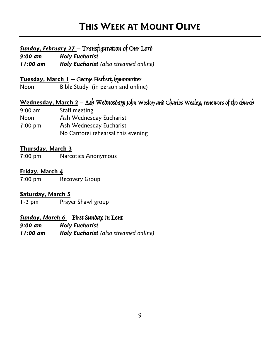## **THIS WEEK AT MOUNT OLIVE**

### *Sunday, February 27* – Transfiguration of Our Lord

*9:00 am Holy Eucharist* 

*11:00 am Holy Eucharist (also streamed online)*

**Tuesday, March 1** – George Herbert, hymnwriter

Noon Bible Study (in person and online)

### **Wednesday, March 2 –** Ash Wednesday; John Wesley and Charles Wesley, renewers of the church

9:00 am Staff meeting Noon Ash Wednesday Eucharist 7:00 pm Ash Wednesday Eucharist No Cantorei rehearsal this evening

#### **Thursday, March 3**

7:00 pm Narcotics Anonymous

#### **Friday, March 4**

7:00 pm Recovery Group

#### **Saturday, March 5**

1-3 pm Prayer Shawl group

#### *Sunday, March 6* – First Sunday in Lent

- *9:00 am Holy Eucharist*
- *11:00 am Holy Eucharist (also streamed online)*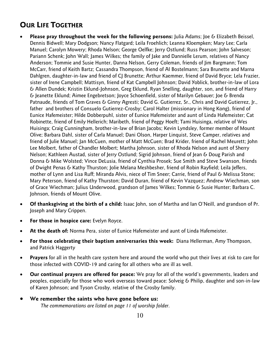### **OUR LIFE TOGETHER**

- **Please pray throughout the week for the following persons:** Julia Adams; Joe & Elizabeth Beissel, Dennis Bidwell; Mary Dodgson; Nancy Flatgard; Leila Froehlich; Leanna Kloempken; Mary Lee; Carla Manuel; Carolyn Mowery; Rhoda Nelson; George Oelfke; Jerry Ostlund; Russ Pearson; John Salveson; Pariann Schenk; John Wall; James Wilkes; the family of Jake and Dannielle Lerum, relatives of Nancy Anderson; Tommie and Susie Hunter, Danna Nelson, Gerry Coleman, friends of Jim Bargmann; Tom McCarr, friend of Keith Bartz; Cassandra Thompson, friend of Al Bostelmann; Sara Brunette and Marna Dahlgren, daughter-in-law and friend of CJ Brunette; Arthur Kaemmer, friend of David Bryce; Lela Frazier, sister of Irene Campbell; Mattisyn, friend of Kat Campbell Johnson; David Yoblick, brother-in-law of Lora & Allen Dundek; Kristin Eklund-Johnson, Greg Eklund, Ryan Snelling, daughter, son, and friend of Harry & Jeanette Eklund; Aimee Engebretson; Joyce Schoenfield, sister of Marilyn Gebauer; Joe & Brenda Patnaude, friends of Tom Graves & Ginny Agresti; David G. Gutierrez, Sr., Chris and David Gutierrez, Jr., father and brothers of Consuelo Gutierrez-Crosby; Carol Halter (missionary in Hong Kong), friend of Eunice Hafemeister; Hilde Dobberpuhl, sister of Eunice Hafemeister and aunt of Linda Hafemeister; Cat Robinette, friend of Emily Hellerich; Maribeth, friend of Peggy Hoeft; Tami Huisinga, relative of Wes Huisinga; Craig Cunningham, brother-in-law of Brian Jacobs; Kevin Lyndsley, former member of Mount Olive; Barbara Dahl, sister of Carla Manuel; Dani Olson, Harper Linquist, Steve Camper, relatives and friend of Julie Manuel; Jan McCuen, mother of Matt McCuen; Brad Krider, friend of Rachel Meurett; John Lee Molbert, father of Chandler Molbert; Martha Johnson, sister of Rhoda Nelson and aunt of Sherry Nelson; Kathleen Austad, sister of Jerry Ostlund; Sigrid Johnson, friend of Jean & Doug Parish and Donna & Mike Wolsted; Vince DeLusia, friend of Cynthia Prosek; Sue Smith and Steve Swanson, friends of Dwight Penas & Kathy Thurston; Jolie Melana Meshbesher, friend of Robin Rayfield; Leila Jeffers, mother of Lynn and Lisa Ruff; Miranda Alvis, niece of Tim Sneer; Carrie, friend of Paul & Melissa Stone; Mary Peterson, friend of Kathy Thurston; David Duran, friend of Kevin Vazquez; Andrew Wiechman, son of Grace Wiechman; Julius Underwood, grandson of James Wilkes; Tommie & Susie Hunter; Barbara C. Johnson, friends of Mount Olive.
- **Of thanksgiving at the birth of a child:** Isaac John, son of Martha and Ian O'Neill, and grandson of Pr. Joseph and Mary Crippen.
- **For those in hospice care:** Evelyn Royce.
- **At the death of:** Norma Pera, sister of Eunice Hafemeister and aunt of Linda Hafemeister.
- **For those celebrating their baptism anniversaries this week:** Diana Hellerman, Amy Thompson, and Patrick Haggerty
- **Prayers** for all in the health care system here and around the world who put their lives at risk to care for those infected with COVID-19 and caring for all others who are ill as well.
- **Our continual prayers are offered for peace:** We pray for all of the world's governments, leaders and peoples, especially for those who work overseas toward peace: Solveig & Philip, daughter and son-in-law of Karen Johnson; and Tyson Crosby, relative of the Crosby family.
- **We remember the saints who have gone before us:**  *The commemorations are listed on page 11 of worship folder.*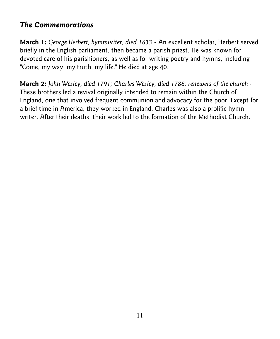## *The Commemorations*

**March 1:** *George Herbert, hymnwriter, died 1633* - An excellent scholar, Herbert served briefly in the English parliament, then became a parish priest. He was known for devoted care of his parishioners, as well as for writing poetry and hymns, including "Come, my way, my truth, my life." He died at age 40.

**March 2:** *John Wesley, died 1791; Charles Wesley, died 1788; renewers of the church -* These brothers led a revival originally intended to remain within the Church of England, one that involved frequent communion and advocacy for the poor. Except for a brief time in America, they worked in England. Charles was also a prolific hymn writer. After their deaths, their work led to the formation of the Methodist Church.